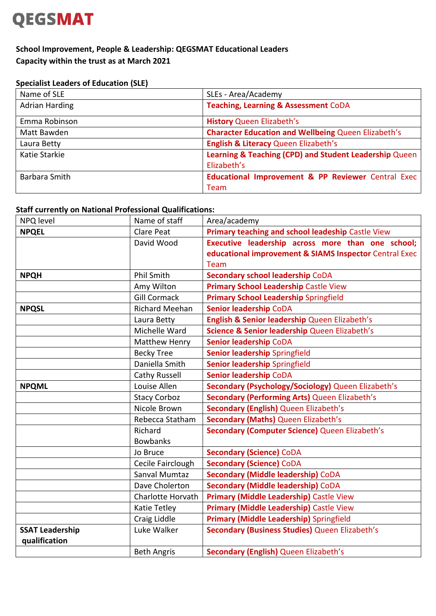### **QEGSMAT**

### **School Improvement, People & Leadership: QEGSMAT Educational Leaders Capacity within the trust as at March 2021**

#### **Specialist Leaders of Education (SLE)**

| Name of SLE           | SLEs - Area/Academy                                        |
|-----------------------|------------------------------------------------------------|
| <b>Adrian Harding</b> | <b>Teaching, Learning &amp; Assessment CoDA</b>            |
| Emma Robinson         | <b>History Queen Elizabeth's</b>                           |
| Matt Bawden           | <b>Character Education and Wellbeing Queen Elizabeth's</b> |
| Laura Betty           | <b>English &amp; Literacy Queen Elizabeth's</b>            |
| Katie Starkie         | Learning & Teaching (CPD) and Student Leadership Queen     |
|                       | Elizabeth's                                                |
| Barbara Smith         | Educational Improvement & PP Reviewer Central Exec         |
|                       | Team                                                       |

#### **Staff currently on National Professional Qualifications:**

| NPQ level              | Name of staff            | Area/academy                                           |
|------------------------|--------------------------|--------------------------------------------------------|
| <b>NPQEL</b>           | <b>Clare Peat</b>        | Primary teaching and school leadeship Castle View      |
|                        | David Wood               | Executive leadership across more than one school;      |
|                        |                          | educational improvement & SIAMS Inspector Central Exec |
|                        |                          | Team                                                   |
| <b>NPQH</b>            | <b>Phil Smith</b>        | <b>Secondary school leadership CoDA</b>                |
|                        | Amy Wilton               | <b>Primary School Leadership Castle View</b>           |
|                        | <b>Gill Cormack</b>      | <b>Primary School Leadership Springfield</b>           |
| <b>NPQSL</b>           | <b>Richard Meehan</b>    | <b>Senior leadership CoDA</b>                          |
|                        | Laura Betty              | English & Senior leadership Queen Elizabeth's          |
|                        | Michelle Ward            | Science & Senior leadership Queen Elizabeth's          |
|                        | <b>Matthew Henry</b>     | <b>Senior leadership CoDA</b>                          |
|                        | <b>Becky Tree</b>        | Senior leadership Springfield                          |
|                        | Daniella Smith           | Senior leadership Springfield                          |
|                        | Cathy Russell            | <b>Senior leadership CoDA</b>                          |
| <b>NPQML</b>           | Louise Allen             | Secondary (Psychology/Sociology) Queen Elizabeth's     |
|                        | <b>Stacy Corboz</b>      | <b>Secondary (Performing Arts) Queen Elizabeth's</b>   |
|                        | Nicole Brown             | Secondary (English) Queen Elizabeth's                  |
|                        | Rebecca Statham          | <b>Secondary (Maths) Queen Elizabeth's</b>             |
|                        | Richard                  | Secondary (Computer Science) Queen Elizabeth's         |
|                        | <b>Bowbanks</b>          |                                                        |
|                        | Jo Bruce                 | <b>Secondary (Science) CoDA</b>                        |
|                        | Cecile Fairclough        | <b>Secondary (Science) CoDA</b>                        |
|                        | Sanval Mumtaz            | <b>Secondary (Middle leadership) CoDA</b>              |
|                        | Dave Cholerton           | <b>Secondary (Middle leadership) CoDA</b>              |
|                        | <b>Charlotte Horvath</b> | Primary (Middle Leadership) Castle View                |
|                        | Katie Tetley             | Primary (Middle Leadership) Castle View                |
|                        | Craig Liddle             | <b>Primary (Middle Leadership)</b> Springfield         |
| <b>SSAT Leadership</b> | Luke Walker              | Secondary (Business Studies) Queen Elizabeth's         |
| qualification          |                          |                                                        |
|                        | <b>Beth Angris</b>       | <b>Secondary (English) Queen Elizabeth's</b>           |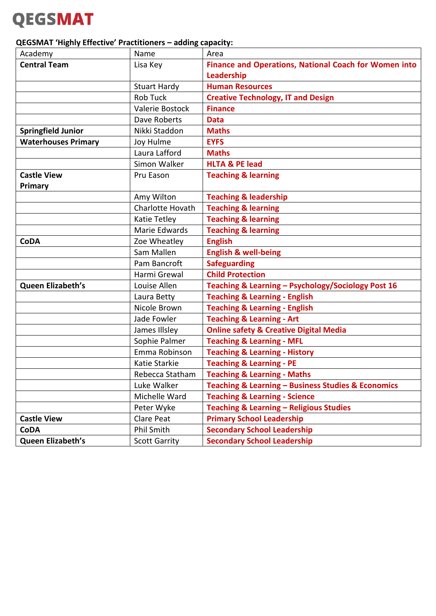## **QEGSMAT**

### **QEGSMAT 'Highly Effective' Practitioners – adding capacity:**

| Academy                    | Name                 | Area                                                         |
|----------------------------|----------------------|--------------------------------------------------------------|
| <b>Central Team</b>        | Lisa Key             | <b>Finance and Operations, National Coach for Women into</b> |
|                            |                      | Leadership                                                   |
|                            | <b>Stuart Hardy</b>  | <b>Human Resources</b>                                       |
|                            | <b>Rob Tuck</b>      | <b>Creative Technology, IT and Design</b>                    |
|                            | Valerie Bostock      | <b>Finance</b>                                               |
|                            | Dave Roberts         | <b>Data</b>                                                  |
| <b>Springfield Junior</b>  | Nikki Staddon        | <b>Maths</b>                                                 |
| <b>Waterhouses Primary</b> | Joy Hulme            | <b>EYFS</b>                                                  |
|                            | Laura Lafford        | <b>Maths</b>                                                 |
|                            | Simon Walker         | <b>HLTA &amp; PE lead</b>                                    |
| <b>Castle View</b>         | Pru Eason            | <b>Teaching &amp; learning</b>                               |
| Primary                    |                      |                                                              |
|                            | Amy Wilton           | <b>Teaching &amp; leadership</b>                             |
|                            | Charlotte Hovath     | <b>Teaching &amp; learning</b>                               |
|                            | <b>Katie Tetley</b>  | <b>Teaching &amp; learning</b>                               |
|                            | Marie Edwards        | <b>Teaching &amp; learning</b>                               |
| <b>CoDA</b>                | Zoe Wheatley         | <b>English</b>                                               |
|                            | Sam Mallen           | <b>English &amp; well-being</b>                              |
|                            | Pam Bancroft         | <b>Safeguarding</b>                                          |
|                            | Harmi Grewal         | <b>Child Protection</b>                                      |
| Queen Elizabeth's          | Louise Allen         | Teaching & Learning - Psychology/Sociology Post 16           |
|                            | Laura Betty          | <b>Teaching &amp; Learning - English</b>                     |
|                            | Nicole Brown         | <b>Teaching &amp; Learning - English</b>                     |
|                            | Jade Fowler          | <b>Teaching &amp; Learning - Art</b>                         |
|                            | James Illsley        | <b>Online safety &amp; Creative Digital Media</b>            |
|                            | Sophie Palmer        | <b>Teaching &amp; Learning - MFL</b>                         |
|                            | Emma Robinson        | <b>Teaching &amp; Learning - History</b>                     |
|                            | Katie Starkie        | <b>Teaching &amp; Learning - PE</b>                          |
|                            | Rebecca Statham      | <b>Teaching &amp; Learning - Maths</b>                       |
|                            | Luke Walker          | Teaching & Learning - Business Studies & Economics           |
|                            | Michelle Ward        | <b>Teaching &amp; Learning - Science</b>                     |
|                            | Peter Wyke           | <b>Teaching &amp; Learning - Religious Studies</b>           |
| <b>Castle View</b>         | Clare Peat           | <b>Primary School Leadership</b>                             |
| <b>CoDA</b>                | <b>Phil Smith</b>    | <b>Secondary School Leadership</b>                           |
| Queen Elizabeth's          | <b>Scott Garrity</b> | <b>Secondary School Leadership</b>                           |